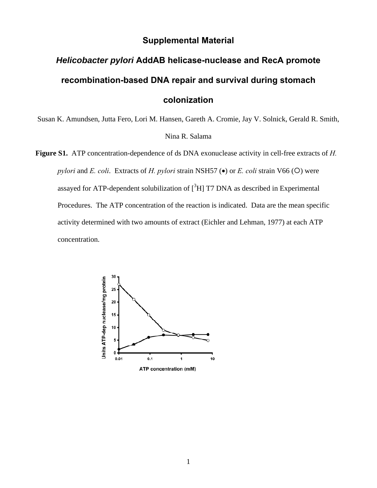### **Supplemental Material**

# *Helicobacter pylori* **AddAB helicase-nuclease and RecA promote recombination-based DNA repair and survival during stomach colonization**

Susan K. Amundsen, Jutta Fero, Lori M. Hansen, Gareth A. Cromie, Jay V. Solnick, Gerald R. Smith, Nina R. Salama

**Figure S1.** ATP concentration-dependence of ds DNA exonuclease activity in cell-free extracts of *H. pylori* and *E. coli.* Extracts of *H. pylori* strain NSH57 ( $\bullet$ ) or *E. coli* strain V66 ( $\circ$ ) were assayed for ATP-dependent solubilization of  $[^{3}H]$  T7 DNA as described in Experimental Procedures. The ATP concentration of the reaction is indicated. Data are the mean specific activity determined with two amounts of extract (Eichler and Lehman, 1977) at each ATP concentration.

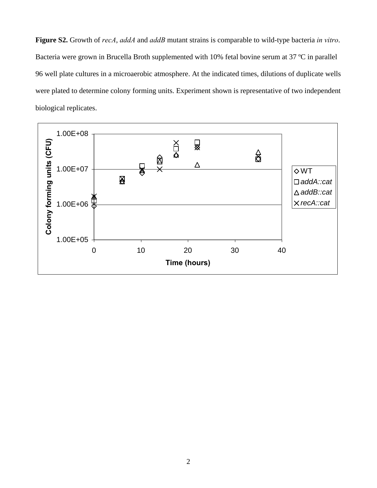**Figure S2.** Growth of *recA*, *addA* and *addB* mutant strains is comparable to wild-type bacteria *in vitro*. Bacteria were grown in Brucella Broth supplemented with 10% fetal bovine serum at 37 ºC in parallel 96 well plate cultures in a microaerobic atmosphere. At the indicated times, dilutions of duplicate wells were plated to determine colony forming units. Experiment shown is representative of two independent biological replicates.

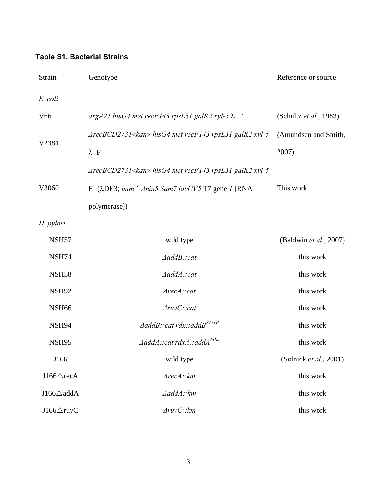#### **Table S1. Bacterial Strains**

| Strain               | Genotype                                                                       | Reference or source    |  |  |  |  |
|----------------------|--------------------------------------------------------------------------------|------------------------|--|--|--|--|
| E. coli              |                                                                                |                        |  |  |  |  |
| V <sub>66</sub>      | $argA21$ his G4 met recF143 rpsL31 galK2 xyl-5 $\lambda$ F                     | (Schultz et al., 1983) |  |  |  |  |
| V2381                | $ArecBCD2731<$ kan> hisG4 met recF143 rpsL31 galK2 xyl-5                       | (Amundsen and Smith,   |  |  |  |  |
|                      | $\lambda^-$ F                                                                  | 2007)                  |  |  |  |  |
|                      | $ArecBCD2731<$ kan> hisG4 met recF143 rpsL31 galK2 xyl-5                       |                        |  |  |  |  |
| V3060                | F ( $\lambda$ DE3; imm <sup>21</sup> $\Delta$ nin5 Sam7 lacUV5 T7 gene 1 [RNA] | This work              |  |  |  |  |
|                      | polymerase])                                                                   |                        |  |  |  |  |
| H. pylori            |                                                                                |                        |  |  |  |  |
| NSH <sub>57</sub>    | wild type                                                                      | (Baldwin et al., 2007) |  |  |  |  |
| NSH74                | AaddB::cat                                                                     | this work              |  |  |  |  |
| <b>NSH58</b>         | AaddA::cat                                                                     | this work              |  |  |  |  |
| <b>NSH92</b>         | Area::cat                                                                      | this work              |  |  |  |  |
| NSH <sub>66</sub>    | $\text{AruvC::cat}$                                                            | this work              |  |  |  |  |
| NSH <sub>94</sub>    | $\triangle$ addB::cat rdx::addB <sup>S771P</sup>                               | this work              |  |  |  |  |
| <b>NSH95</b>         | $\Delta$ addA::cat rdxA::addA <sup>6His</sup>                                  | this work              |  |  |  |  |
| J166                 | wild type                                                                      | (Solnick et al., 2001) |  |  |  |  |
| J166∆recA            | Area::km                                                                       | this work              |  |  |  |  |
| $J166\triangle$ addA | AaddA::km                                                                      | this work              |  |  |  |  |
| $J166\triangle$ ruvC | $\Delta ruvC$ :: $km$                                                          | this work              |  |  |  |  |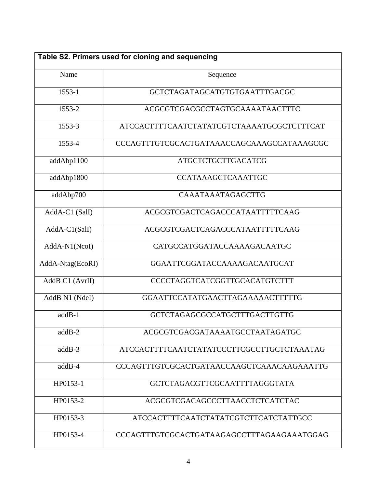| Table S2. Primers used for cloning and sequencing |                                            |  |  |  |
|---------------------------------------------------|--------------------------------------------|--|--|--|
| Name                                              | Sequence                                   |  |  |  |
| 1553-1                                            | GCTCTAGATAGCATGTGTGAATTTGACGC              |  |  |  |
| 1553-2                                            | ACGCGTCGACGCCTAGTGCAAAATAACTTTC            |  |  |  |
| 1553-3                                            | ATCCACTTTTCAATCTATATCGTCTAAAATGCGCTCTTTCAT |  |  |  |
| 1553-4                                            | CCCAGTTTGTCGCACTGATAAACCAGCAAAGCCATAAAGCGC |  |  |  |
| addAbp1100                                        | <b>ATGCTCTGCTTGACATCG</b>                  |  |  |  |
| addAbp1800                                        | <b>CCATAAAGCTCAAATTGC</b>                  |  |  |  |
| addAbp700                                         | <b>CAAATAAATAGAGCTTG</b>                   |  |  |  |
| AddA-C1 (SalI)                                    | ACGCGTCGACTCAGACCCATAATTTTTCAAG            |  |  |  |
| AddA-C1(SalI)                                     | ACGCGTCGACTCAGACCCATAATTTTTCAAG            |  |  |  |
| AddA-N1(NcoI)                                     | CATGCCATGGATACCAAAAGACAATGC                |  |  |  |
| AddA-Ntag(EcoRI)                                  | GGAATTCGGATACCAAAAGACAATGCAT               |  |  |  |
| AddB C1 (AvrII)                                   | CCCCTAGGTCATCGGTTGCACATGTCTTT              |  |  |  |
| AddB N1 (NdeI)                                    | GGAATTCCATATGAACTTAGAAAAACTTTTTG           |  |  |  |
| addB-1                                            | GCTCTAGAGCGCCATGCTTTGACTTGTTG              |  |  |  |
| $addB-2$                                          | ACGCGTCGACGATAAAATGCCTAATAGATGC            |  |  |  |
| $addB-3$                                          | ATCCACTTTTCAATCTATATCCCTTCGCCTTGCTCTAAATAG |  |  |  |
| $addB-4$                                          | CCCAGTTTGTCGCACTGATAACCAAGCTCAAACAAGAAATTG |  |  |  |
| HP0153-1                                          | GCTCTAGACGTTCGCAATTTTAGGGTATA              |  |  |  |
| HP0153-2                                          | ACGCGTCGACAGCCCTTAACCTCTCATCTAC            |  |  |  |
| HP0153-3                                          | ATCCACTTTTCAATCTATATCGTCTTCATCTATTGCC      |  |  |  |
| HP0153-4                                          | CCCAGTTTGTCGCACTGATAAGAGCCTTTAGAAGAAATGGAG |  |  |  |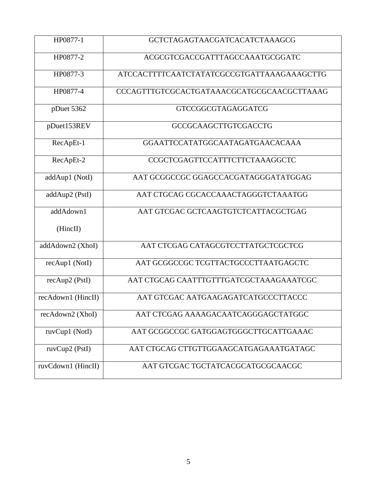| HP0877-1           | GCTCTAGAGTAACGATCACATCTAAAGCG              |
|--------------------|--------------------------------------------|
| HP0877-2           | ACGCGTCGACCGATTTAGCCAAATGCGGATC            |
| HP0877-3           | ATCCACTTTTCAATCTATATCGCCGTGATTAAAGAAAGCTTG |
| HP0877-4           | CCCAGTTTGTCGCACTGATAAACGCATGCGCAACGCTTAAAG |
| pDuet 5362         | <b>GTCCGGCGTAGAGGATCG</b>                  |
| pDuet153REV        | <b>GCCGCAAGCTTGTCGACCTG</b>                |
| RecApEt-1          | GGAATTCCATATGGCAATAGATGAACACAAA            |
| RecApEt-2          | CCGCTCGAGTTCCATTTCTTCTAAAGGCTC             |
| addAup1 (NotI)     | AAT GCGGCCGC GGAGCCACGATAGGGATATGGAG       |
| addAup2 (PstI)     | AAT CTGCAG CGCACCAAACTAGGGTCTAAATGG        |
| addAdown1          | AAT GTCGAC GCTCAAGTGTCTCATTACGCTGAG        |
| (HincII)           |                                            |
| addAdown2 (XhoI)   | AAT CTCGAG CATAGCGTCCTTATGCTCGCTCG         |
| recAup1 (NotI)     | AAT GCGGCCGC TCGTTACTGCCCTTAATGAGCTC       |
| recAup2 (PstI)     | AAT CTGCAG CAATTTGTTTGATCGCTAAAGAAATCGC    |
| recAdown1 (HincII) | AAT GTCGAC AATGAAGAGATCATGCCCTTACCC        |
| recAdown2 (XhoI)   | AAT CTCGAG AAAAGACAATCAGGGAGCTATGGC        |
| ruvCup1 (NotI)     | AAT GCGGCCGC GATGGAGTGGGCTTGCATTGAAAC      |
| ruvCup2 (PstI)     | AAT CTGCAG CTTGTTGGAAGCATGAGAAATGATAGC     |
| ruvCdown1 (HincII) | AAT GTCGAC TGCTATCACGCATGCGCAACGC          |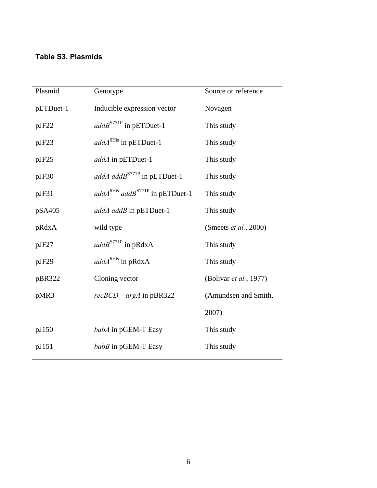## **Table S3. Plasmids**

| Plasmid   | Genotype                                | Source or reference           |  |
|-----------|-----------------------------------------|-------------------------------|--|
| pETDuet-1 | Inducible expression vector             | Novagen                       |  |
| pJF22     | $addB^{ST71P}$ in pETDuet-1             | This study                    |  |
| pJF23     | $addA^{6His}$ in pETDuet-1              | This study                    |  |
| pJF25     | addA in pETDuet-1                       | This study                    |  |
| pJF30     | addA addB <sup>S771P</sup> in pETDuet-1 | This study                    |  |
| pJF31     | $addA6His addBS771P$ in pETDuet-1       | This study                    |  |
| pSA405    | addA addB in pETDuet-1                  | This study                    |  |
| pRdxA     | wild type                               | (Smeets <i>et al.</i> , 2000) |  |
| pJF27     | $addB^{S771P}$ in pRdxA                 | This study                    |  |
| pJF29     | $addA6His$ in pRdxA                     | This study                    |  |
| pBR322    | Cloning vector                          | (Bolivar et al., 1977)        |  |
| pMR3      | $recBCD - argA$ in pBR322               | (Amundsen and Smith,          |  |
|           |                                         | 2007)                         |  |
| pJ150     | babA in pGEM-T Easy                     | This study                    |  |
| pJ151     | babB in pGEM-T Easy                     | This study                    |  |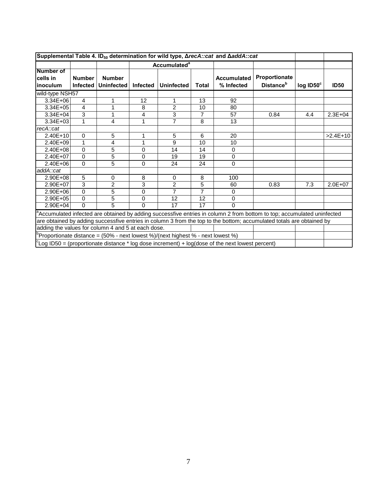| Supplemental Table 4. ID <sub>50</sub> determination for wild type, <b>ΔrecA</b> :: cat and ΔaddA:: cat |                                                                                                                       |                                    |                                |                   |              |                                  |                                                                                                                        |                       |             |
|---------------------------------------------------------------------------------------------------------|-----------------------------------------------------------------------------------------------------------------------|------------------------------------|--------------------------------|-------------------|--------------|----------------------------------|------------------------------------------------------------------------------------------------------------------------|-----------------------|-------------|
|                                                                                                         |                                                                                                                       |                                    | <b>Accumulated<sup>a</sup></b> |                   |              |                                  |                                                                                                                        |                       |             |
| <b>Number of</b><br>cells in<br>inoculum                                                                | <b>Number</b><br><b>Infected</b>                                                                                      | <b>Number</b><br><b>Uninfected</b> | <b>Infected</b>                | <b>Uninfected</b> | <b>Total</b> | <b>Accumulated</b><br>% Infected | Proportionate<br><b>Distance</b> <sup>b</sup>                                                                          | $log$ ID50 $^{\circ}$ | <b>ID50</b> |
| wild-type NSH57                                                                                         |                                                                                                                       |                                    |                                |                   |              |                                  |                                                                                                                        |                       |             |
| 3.34E+06                                                                                                | 4                                                                                                                     | 1                                  | 12                             | 1                 | 13           | 92                               |                                                                                                                        |                       |             |
| $3.34E + 05$                                                                                            | 4                                                                                                                     | 1                                  | 8                              | $\overline{2}$    | 10           | 80                               |                                                                                                                        |                       |             |
| $3.34E + 04$                                                                                            | 3                                                                                                                     | 1                                  | 4                              | 3                 | 7            | 57                               | 0.84                                                                                                                   | 4.4                   | $2.3E + 04$ |
| $3.34E + 03$                                                                                            | 1                                                                                                                     | 4                                  | 1                              | $\overline{7}$    | 8            | 13                               |                                                                                                                        |                       |             |
| recA::cat                                                                                               |                                                                                                                       |                                    |                                |                   |              |                                  |                                                                                                                        |                       |             |
| 2.40E+10                                                                                                | 0                                                                                                                     | 5                                  | 1                              | 5                 | 6            | 20                               |                                                                                                                        |                       | $>2.4E+10$  |
| 2.40E+09                                                                                                | 1                                                                                                                     | 4                                  | 1                              | 9                 | 10           | 10                               |                                                                                                                        |                       |             |
| $2.40E + 08$                                                                                            | $\Omega$                                                                                                              | 5                                  | $\Omega$                       | 14                | 14           | $\Omega$                         |                                                                                                                        |                       |             |
| 2.40E+07                                                                                                | 0                                                                                                                     | 5                                  | 0                              | 19                | 19           | $\mathbf 0$                      |                                                                                                                        |                       |             |
| 2.40E+06                                                                                                | $\Omega$                                                                                                              | 5                                  | 0                              | 24                | 24           | 0                                |                                                                                                                        |                       |             |
| addA::cat                                                                                               |                                                                                                                       |                                    |                                |                   |              |                                  |                                                                                                                        |                       |             |
| 2.90E+08                                                                                                | 5                                                                                                                     | 0                                  | 8                              | $\Omega$          | 8            | 100                              |                                                                                                                        |                       |             |
| $2.90E + 07$                                                                                            | 3                                                                                                                     | $\overline{2}$                     | 3                              | $\overline{2}$    | 5            | 60                               | 0.83                                                                                                                   | 7.3                   | $2.0E + 07$ |
| 2.90E+06                                                                                                | 0                                                                                                                     | 5                                  | 0                              | 7                 | 7            | 0                                |                                                                                                                        |                       |             |
| 2.90E+05                                                                                                | 0                                                                                                                     | 5                                  | 0                              | 12                | 12           | 0                                |                                                                                                                        |                       |             |
| $2.90E + 04$                                                                                            | $\Omega$                                                                                                              | 5                                  | $\Omega$                       | 17                | 17           | 0                                |                                                                                                                        |                       |             |
|                                                                                                         |                                                                                                                       |                                    |                                |                   |              |                                  | Accumulated infected are obtained by adding successfive entries in column 2 from bottom to top; accumulated uninfected |                       |             |
|                                                                                                         | are obtained by adding successfive entries in column 3 from the top to the bottom; accumulated totals are obtained by |                                    |                                |                   |              |                                  |                                                                                                                        |                       |             |
| adding the values for column 4 and 5 at each dose.                                                      |                                                                                                                       |                                    |                                |                   |              |                                  |                                                                                                                        |                       |             |
| Proportionate distance = $(50\%$ - next lowest %)/(next highest % - next lowest %)                      |                                                                                                                       |                                    |                                |                   |              |                                  |                                                                                                                        |                       |             |
|                                                                                                         | $C_{\text{Log}}$ ID50 = (proportionate distance $*$ log dose increment) + log(dose of the next lowest percent)        |                                    |                                |                   |              |                                  |                                                                                                                        |                       |             |